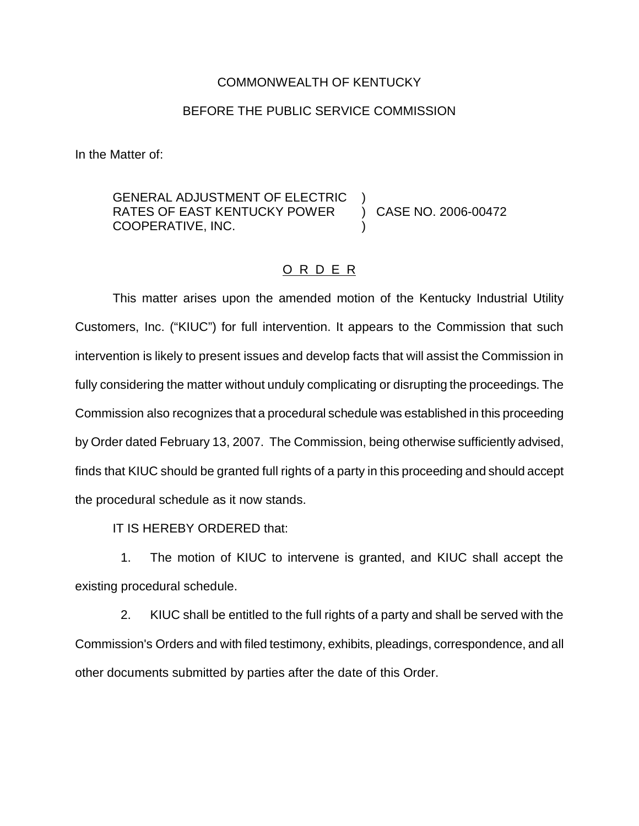## COMMONWEALTH OF KENTUCKY

## BEFORE THE PUBLIC SERVICE COMMISSION

In the Matter of:

GENERAL ADJUSTMENT OF ELECTRIC )<br>RATES OF EAST KENTUCKY POWER ) CASE NO. 2006-00472 RATES OF EAST KENTUCKY POWER COOPERATIVE, INC. )

## O R D E R

This matter arises upon the amended motion of the Kentucky Industrial Utility Customers, Inc. ("KIUC") for full intervention. It appears to the Commission that such intervention is likely to present issues and develop facts that will assist the Commission in fully considering the matter without unduly complicating or disrupting the proceedings. The Commission also recognizes that a procedural schedule was established in this proceeding by Order dated February 13, 2007. The Commission, being otherwise sufficiently advised, finds that KIUC should be granted full rights of a party in this proceeding and should accept the procedural schedule as it now stands.

IT IS HEREBY ORDERED that:

1. The motion of KIUC to intervene is granted, and KIUC shall accept the existing procedural schedule.

2. KIUC shall be entitled to the full rights of a party and shall be served with the Commission's Orders and with filed testimony, exhibits, pleadings, correspondence, and all other documents submitted by parties after the date of this Order.